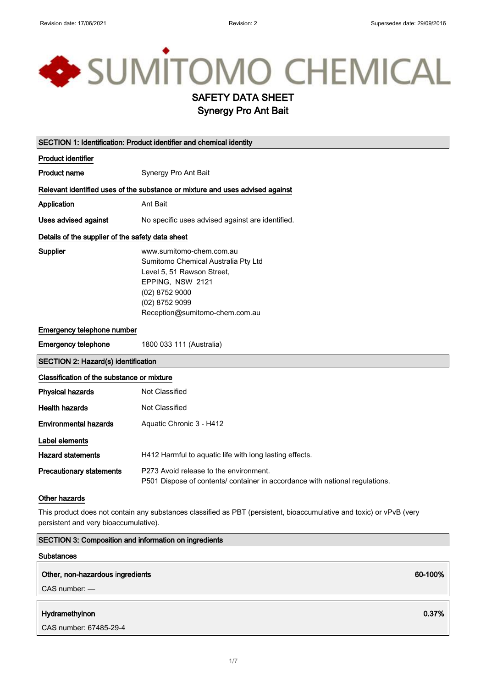# SUMITOMO CHEMICAL SAFETY DATA SHEET

Synergy Pro Ant Bait

| SECTION 1: Identification: Product identifier and chemical identity                                                                                           |                                                                                                                                                                                         |
|---------------------------------------------------------------------------------------------------------------------------------------------------------------|-----------------------------------------------------------------------------------------------------------------------------------------------------------------------------------------|
| <b>Product identifier</b>                                                                                                                                     |                                                                                                                                                                                         |
| <b>Product name</b>                                                                                                                                           | Synergy Pro Ant Bait                                                                                                                                                                    |
|                                                                                                                                                               | Relevant identified uses of the substance or mixture and uses advised against                                                                                                           |
| Application                                                                                                                                                   | Ant Bait                                                                                                                                                                                |
| <b>Uses advised against</b>                                                                                                                                   | No specific uses advised against are identified.                                                                                                                                        |
| Details of the supplier of the safety data sheet                                                                                                              |                                                                                                                                                                                         |
| <b>Supplier</b>                                                                                                                                               | www.sumitomo-chem.com.au<br>Sumitomo Chemical Australia Pty Ltd<br>Level 5, 51 Rawson Street,<br>EPPING, NSW 2121<br>(02) 8752 9000<br>(02) 8752 9099<br>Reception@sumitomo-chem.com.au |
| Emergency telephone number                                                                                                                                    |                                                                                                                                                                                         |
| <b>Emergency telephone</b>                                                                                                                                    | 1800 033 111 (Australia)                                                                                                                                                                |
| <b>SECTION 2: Hazard(s) identification</b>                                                                                                                    |                                                                                                                                                                                         |
| Classification of the substance or mixture                                                                                                                    |                                                                                                                                                                                         |
| <b>Physical hazards</b>                                                                                                                                       | <b>Not Classified</b>                                                                                                                                                                   |
| <b>Health hazards</b>                                                                                                                                         | Not Classified                                                                                                                                                                          |
| <b>Environmental hazards</b>                                                                                                                                  | Aquatic Chronic 3 - H412                                                                                                                                                                |
| Label elements                                                                                                                                                |                                                                                                                                                                                         |
| <b>Hazard statements</b>                                                                                                                                      | H412 Harmful to aquatic life with long lasting effects.                                                                                                                                 |
| <b>Precautionary statements</b>                                                                                                                               | P273 Avoid release to the environment.<br>P501 Dispose of contents/ container in accordance with national regulations.                                                                  |
| Other hazards                                                                                                                                                 |                                                                                                                                                                                         |
| This product does not contain any substances classified as PBT (persistent, bioaccumulative and toxic) or vPvB (very<br>persistent and very bioaccumulative). |                                                                                                                                                                                         |

| <b>Substances</b>                                     |         |
|-------------------------------------------------------|---------|
| Other, non-hazardous ingredients<br>$CAS$ number: $-$ | 60-100% |
|                                                       |         |
| Hydramethylnon                                        | 0.37%   |
| CAS number: 67485-29-4                                |         |

SECTION 3: Composition and information on ingredients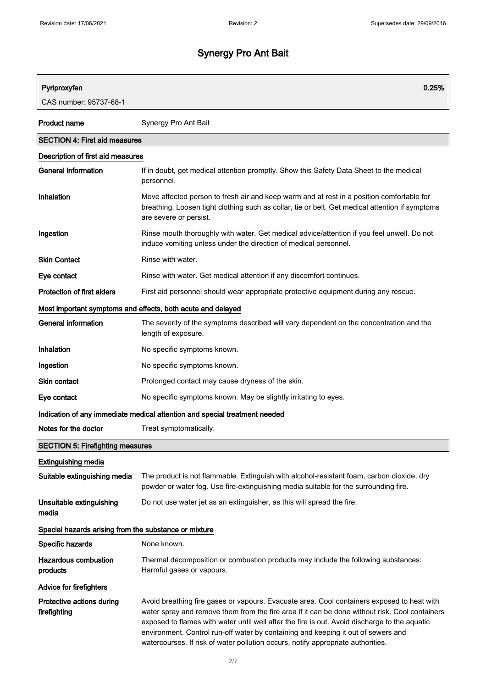| Pyriproxyfen                                                | 0.25%                                                                                                                                                                                                                                                                                                                                                                                                                                                                  |
|-------------------------------------------------------------|------------------------------------------------------------------------------------------------------------------------------------------------------------------------------------------------------------------------------------------------------------------------------------------------------------------------------------------------------------------------------------------------------------------------------------------------------------------------|
| CAS number: 95737-68-1                                      |                                                                                                                                                                                                                                                                                                                                                                                                                                                                        |
|                                                             |                                                                                                                                                                                                                                                                                                                                                                                                                                                                        |
| <b>Product name</b>                                         | Synergy Pro Ant Bait                                                                                                                                                                                                                                                                                                                                                                                                                                                   |
| <b>SECTION 4: First aid measures</b>                        |                                                                                                                                                                                                                                                                                                                                                                                                                                                                        |
| Description of first aid measures                           |                                                                                                                                                                                                                                                                                                                                                                                                                                                                        |
| <b>General information</b>                                  | If in doubt, get medical attention promptly. Show this Safety Data Sheet to the medical<br>personnel.                                                                                                                                                                                                                                                                                                                                                                  |
| Inhalation                                                  | Move affected person to fresh air and keep warm and at rest in a position comfortable for<br>breathing. Loosen tight clothing such as collar, tie or belt. Get medical attention if symptoms<br>are severe or persist.                                                                                                                                                                                                                                                 |
| Ingestion                                                   | Rinse mouth thoroughly with water. Get medical advice/attention if you feel unwell. Do not<br>induce vomiting unless under the direction of medical personnel.                                                                                                                                                                                                                                                                                                         |
| <b>Skin Contact</b>                                         | Rinse with water.                                                                                                                                                                                                                                                                                                                                                                                                                                                      |
| Eye contact                                                 | Rinse with water. Get medical attention if any discomfort continues.                                                                                                                                                                                                                                                                                                                                                                                                   |
| Protection of first aiders                                  | First aid personnel should wear appropriate protective equipment during any rescue.                                                                                                                                                                                                                                                                                                                                                                                    |
| Most important symptoms and effects, both acute and delayed |                                                                                                                                                                                                                                                                                                                                                                                                                                                                        |
| <b>General information</b>                                  | The severity of the symptoms described will vary dependent on the concentration and the<br>length of exposure.                                                                                                                                                                                                                                                                                                                                                         |
| Inhalation                                                  | No specific symptoms known.                                                                                                                                                                                                                                                                                                                                                                                                                                            |
| Ingestion                                                   | No specific symptoms known.                                                                                                                                                                                                                                                                                                                                                                                                                                            |
| <b>Skin contact</b>                                         | Prolonged contact may cause dryness of the skin.                                                                                                                                                                                                                                                                                                                                                                                                                       |
| Eye contact                                                 | No specific symptoms known. May be slightly irritating to eyes.                                                                                                                                                                                                                                                                                                                                                                                                        |
|                                                             | Indication of any immediate medical attention and special treatment needed                                                                                                                                                                                                                                                                                                                                                                                             |
| Notes for the doctor                                        | Treat symptomatically.                                                                                                                                                                                                                                                                                                                                                                                                                                                 |
| <b>SECTION 5: Firefighting measures</b>                     |                                                                                                                                                                                                                                                                                                                                                                                                                                                                        |
| <b>Extinguishing media</b>                                  |                                                                                                                                                                                                                                                                                                                                                                                                                                                                        |
| Suitable extinguishing media                                | The product is not flammable. Extinguish with alcohol-resistant foam, carbon dioxide, dry<br>powder or water fog. Use fire-extinguishing media suitable for the surrounding fire.                                                                                                                                                                                                                                                                                      |
| Unsuitable extinguishing<br>media                           | Do not use water jet as an extinguisher, as this will spread the fire.                                                                                                                                                                                                                                                                                                                                                                                                 |
| Special hazards arising from the substance or mixture       |                                                                                                                                                                                                                                                                                                                                                                                                                                                                        |
| Specific hazards                                            | None known.                                                                                                                                                                                                                                                                                                                                                                                                                                                            |
| <b>Hazardous combustion</b><br>products                     | Thermal decomposition or combustion products may include the following substances:<br>Harmful gases or vapours.                                                                                                                                                                                                                                                                                                                                                        |
| <b>Advice for firefighters</b>                              |                                                                                                                                                                                                                                                                                                                                                                                                                                                                        |
| Protective actions during<br>firefighting                   | Avoid breathing fire gases or vapours. Evacuate area. Cool containers exposed to heat with<br>water spray and remove them from the fire area if it can be done without risk. Cool containers<br>exposed to flames with water until well after the fire is out. Avoid discharge to the aquatic<br>environment. Control run-off water by containing and keeping it out of sewers and<br>watercourses. If risk of water pollution occurs, notify appropriate authorities. |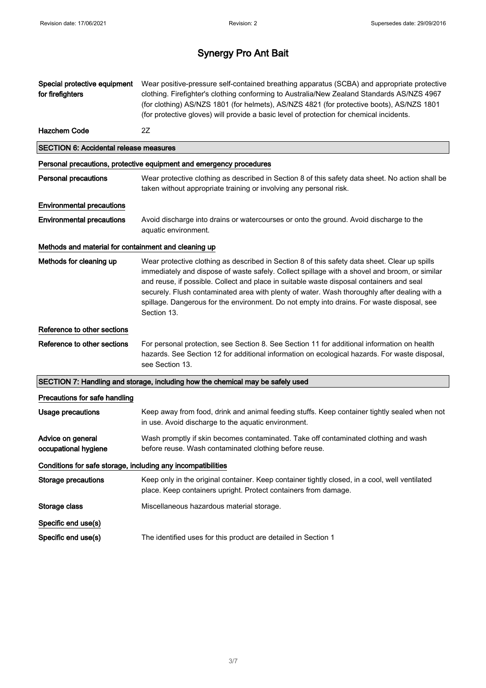| Special protective equipment<br>for firefighters             | Wear positive-pressure self-contained breathing apparatus (SCBA) and appropriate protective<br>clothing. Firefighter's clothing conforming to Australia/New Zealand Standards AS/NZS 4967<br>(for clothing) AS/NZS 1801 (for helmets), AS/NZS 4821 (for protective boots), AS/NZS 1801<br>(for protective gloves) will provide a basic level of protection for chemical incidents.                                                                                                                      |
|--------------------------------------------------------------|---------------------------------------------------------------------------------------------------------------------------------------------------------------------------------------------------------------------------------------------------------------------------------------------------------------------------------------------------------------------------------------------------------------------------------------------------------------------------------------------------------|
| <b>Hazchem Code</b>                                          | 2Z                                                                                                                                                                                                                                                                                                                                                                                                                                                                                                      |
| <b>SECTION 6: Accidental release measures</b>                |                                                                                                                                                                                                                                                                                                                                                                                                                                                                                                         |
|                                                              | Personal precautions, protective equipment and emergency procedures                                                                                                                                                                                                                                                                                                                                                                                                                                     |
| <b>Personal precautions</b>                                  | Wear protective clothing as described in Section 8 of this safety data sheet. No action shall be<br>taken without appropriate training or involving any personal risk.                                                                                                                                                                                                                                                                                                                                  |
| <b>Environmental precautions</b>                             |                                                                                                                                                                                                                                                                                                                                                                                                                                                                                                         |
| <b>Environmental precautions</b>                             | Avoid discharge into drains or watercourses or onto the ground. Avoid discharge to the<br>aquatic environment.                                                                                                                                                                                                                                                                                                                                                                                          |
| Methods and material for containment and cleaning up         |                                                                                                                                                                                                                                                                                                                                                                                                                                                                                                         |
| Methods for cleaning up                                      | Wear protective clothing as described in Section 8 of this safety data sheet. Clear up spills<br>immediately and dispose of waste safely. Collect spillage with a shovel and broom, or similar<br>and reuse, if possible. Collect and place in suitable waste disposal containers and seal<br>securely. Flush contaminated area with plenty of water. Wash thoroughly after dealing with a<br>spillage. Dangerous for the environment. Do not empty into drains. For waste disposal, see<br>Section 13. |
| Reference to other sections                                  |                                                                                                                                                                                                                                                                                                                                                                                                                                                                                                         |
| Reference to other sections                                  | For personal protection, see Section 8. See Section 11 for additional information on health<br>hazards. See Section 12 for additional information on ecological hazards. For waste disposal,<br>see Section 13.                                                                                                                                                                                                                                                                                         |
|                                                              | SECTION 7: Handling and storage, including how the chemical may be safely used                                                                                                                                                                                                                                                                                                                                                                                                                          |
| Precautions for safe handling                                |                                                                                                                                                                                                                                                                                                                                                                                                                                                                                                         |
| <b>Usage precautions</b>                                     | Keep away from food, drink and animal feeding stuffs. Keep container tightly sealed when not<br>in use. Avoid discharge to the aquatic environment.                                                                                                                                                                                                                                                                                                                                                     |
| Advice on general<br>occupational hygiene                    | Wash promptly if skin becomes contaminated. Take off contaminated clothing and wash<br>before reuse. Wash contaminated clothing before reuse.                                                                                                                                                                                                                                                                                                                                                           |
| Conditions for safe storage, including any incompatibilities |                                                                                                                                                                                                                                                                                                                                                                                                                                                                                                         |
| <b>Storage precautions</b>                                   | Keep only in the original container. Keep container tightly closed, in a cool, well ventilated<br>place. Keep containers upright. Protect containers from damage.                                                                                                                                                                                                                                                                                                                                       |
| Storage class                                                | Miscellaneous hazardous material storage.                                                                                                                                                                                                                                                                                                                                                                                                                                                               |
| Specific end use(s)                                          |                                                                                                                                                                                                                                                                                                                                                                                                                                                                                                         |
| Specific end use(s)                                          | The identified uses for this product are detailed in Section 1                                                                                                                                                                                                                                                                                                                                                                                                                                          |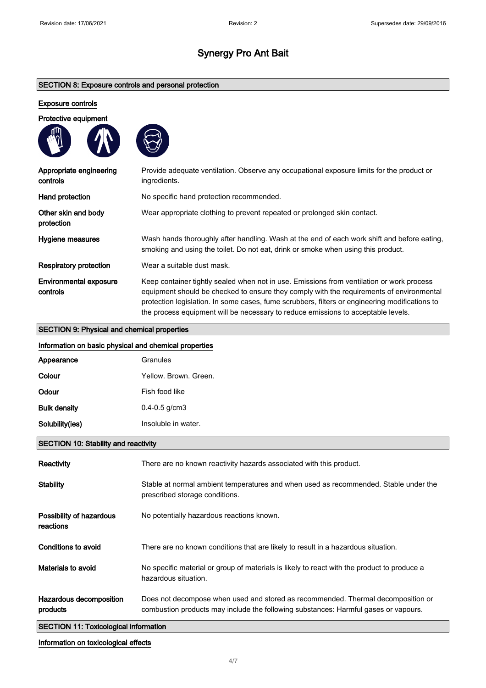#### SECTION 8: Exposure controls and personal protection

#### Exposure controls

| Protective equipment |  |
|----------------------|--|
|                      |  |



| Appropriate engineering<br>controls       | Provide adequate ventilation. Observe any occupational exposure limits for the product or<br>ingredients.                                                                                                                                                                                                                                                                    |
|-------------------------------------------|------------------------------------------------------------------------------------------------------------------------------------------------------------------------------------------------------------------------------------------------------------------------------------------------------------------------------------------------------------------------------|
| Hand protection                           | No specific hand protection recommended.                                                                                                                                                                                                                                                                                                                                     |
| Other skin and body<br>protection         | Wear appropriate clothing to prevent repeated or prolonged skin contact.                                                                                                                                                                                                                                                                                                     |
| Hygiene measures                          | Wash hands thoroughly after handling. Wash at the end of each work shift and before eating,<br>smoking and using the toilet. Do not eat, drink or smoke when using this product.                                                                                                                                                                                             |
| <b>Respiratory protection</b>             | Wear a suitable dust mask.                                                                                                                                                                                                                                                                                                                                                   |
| <b>Environmental exposure</b><br>controls | Keep container tightly sealed when not in use. Emissions from ventilation or work process<br>equipment should be checked to ensure they comply with the requirements of environmental<br>protection legislation. In some cases, fume scrubbers, filters or engineering modifications to<br>the process equipment will be necessary to reduce emissions to acceptable levels. |

## SECTION 9: Physical and chemical properties

| Information on basic physical and chemical properties |                                                                                                                                                                         |
|-------------------------------------------------------|-------------------------------------------------------------------------------------------------------------------------------------------------------------------------|
| Appearance                                            | Granules                                                                                                                                                                |
| Colour                                                | Yellow, Brown, Green,                                                                                                                                                   |
| Odour                                                 | Fish food like                                                                                                                                                          |
| <b>Bulk density</b>                                   | $0.4 - 0.5$ g/cm3                                                                                                                                                       |
| Solubility(ies)                                       | Insoluble in water.                                                                                                                                                     |
| <b>SECTION 10: Stability and reactivity</b>           |                                                                                                                                                                         |
| Reactivity                                            | There are no known reactivity hazards associated with this product.                                                                                                     |
| <b>Stability</b>                                      | Stable at normal ambient temperatures and when used as recommended. Stable under the<br>prescribed storage conditions.                                                  |
| Possibility of hazardous<br>reactions                 | No potentially hazardous reactions known.                                                                                                                               |
| Conditions to avoid                                   | There are no known conditions that are likely to result in a hazardous situation.                                                                                       |
| Materials to avoid                                    | No specific material or group of materials is likely to react with the product to produce a<br>hazardous situation.                                                     |
| Hazardous decomposition<br>products                   | Does not decompose when used and stored as recommended. Thermal decomposition or<br>combustion products may include the following substances: Harmful gases or vapours. |

### SECTION 11: Toxicological information

#### Information on toxicological effects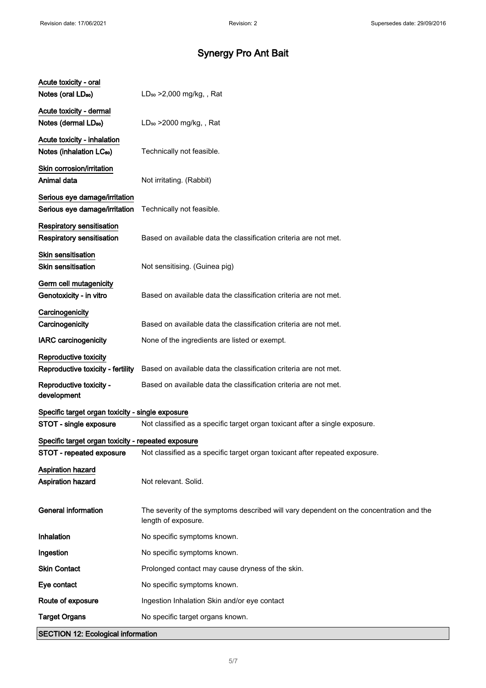| <b>SECTION 12: Ecological information</b>                                  |                                                                                                                |
|----------------------------------------------------------------------------|----------------------------------------------------------------------------------------------------------------|
| <b>Target Organs</b>                                                       | No specific target organs known.                                                                               |
| Route of exposure                                                          | Ingestion Inhalation Skin and/or eye contact                                                                   |
| Eye contact                                                                | No specific symptoms known.                                                                                    |
| <b>Skin Contact</b>                                                        | Prolonged contact may cause dryness of the skin.                                                               |
| Ingestion                                                                  | No specific symptoms known.                                                                                    |
| Inhalation                                                                 | No specific symptoms known.                                                                                    |
| <b>General information</b>                                                 | The severity of the symptoms described will vary dependent on the concentration and the<br>length of exposure. |
| Aspiration hazard<br>Aspiration hazard                                     | Not relevant. Solid.                                                                                           |
| STOT - repeated exposure                                                   | Not classified as a specific target organ toxicant after repeated exposure.                                    |
| Specific target organ toxicity - repeated exposure                         |                                                                                                                |
| Specific target organ toxicity - single exposure<br>STOT - single exposure | Not classified as a specific target organ toxicant after a single exposure.                                    |
| Reproductive toxicity -<br>development                                     | Based on available data the classification criteria are not met.                                               |
| Reproductive toxicity - fertility                                          | Based on available data the classification criteria are not met.                                               |
| Reproductive toxicity                                                      |                                                                                                                |
| <b>IARC</b> carcinogenicity                                                | None of the ingredients are listed or exempt.                                                                  |
| Carcinogenicity<br>Carcinogenicity                                         | Based on available data the classification criteria are not met.                                               |
| Germ cell mutagenicity<br>Genotoxicity - in vitro                          | Based on available data the classification criteria are not met.                                               |
| Skin sensitisation<br><b>Skin sensitisation</b>                            | Not sensitising. (Guinea pig)                                                                                  |
| Respiratory sensitisation<br>Respiratory sensitisation                     | Based on available data the classification criteria are not met.                                               |
| Serious eye damage/irritation<br>Serious eye damage/irritation             | Technically not feasible.                                                                                      |
| Skin corrosion/irritation<br>Animal data                                   | Not irritating. (Rabbit)                                                                                       |
| Acute toxicity - inhalation<br>Notes (inhalation LC <sub>50</sub> )        | Technically not feasible.                                                                                      |
| Acute toxicity - dermal<br>Notes (dermal LD <sub>50</sub> )                | $LD_{50}$ >2000 mg/kg, , Rat                                                                                   |
| Acute toxicity - oral<br>Notes (oral LD <sub>50</sub> )                    | $LD_{50} > 2,000$ mg/kg, , Rat                                                                                 |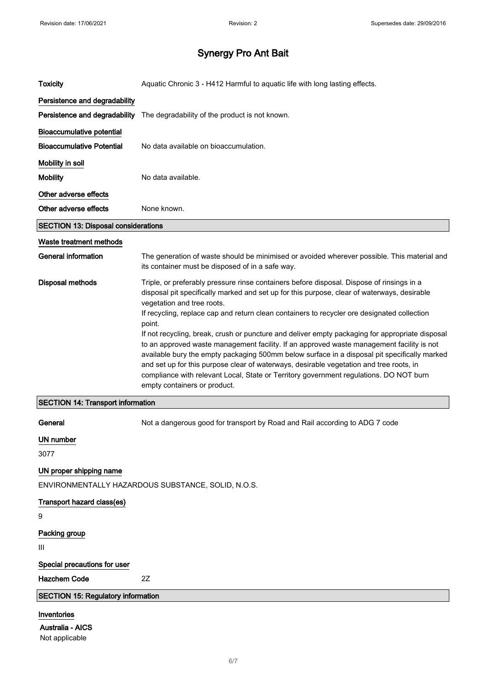| <b>Toxicity</b>                                          | Aquatic Chronic 3 - H412 Harmful to aquatic life with long lasting effects.                                                                                                                                                                                                                                                                                                                                                                                                                                       |
|----------------------------------------------------------|-------------------------------------------------------------------------------------------------------------------------------------------------------------------------------------------------------------------------------------------------------------------------------------------------------------------------------------------------------------------------------------------------------------------------------------------------------------------------------------------------------------------|
| Persistence and degradability                            |                                                                                                                                                                                                                                                                                                                                                                                                                                                                                                                   |
| Persistence and degradability                            | The degradability of the product is not known.                                                                                                                                                                                                                                                                                                                                                                                                                                                                    |
| <b>Bioaccumulative potential</b>                         |                                                                                                                                                                                                                                                                                                                                                                                                                                                                                                                   |
| <b>Bioaccumulative Potential</b>                         | No data available on bioaccumulation.                                                                                                                                                                                                                                                                                                                                                                                                                                                                             |
| Mobility in soil                                         |                                                                                                                                                                                                                                                                                                                                                                                                                                                                                                                   |
| <b>Mobility</b>                                          | No data available.                                                                                                                                                                                                                                                                                                                                                                                                                                                                                                |
| Other adverse effects                                    |                                                                                                                                                                                                                                                                                                                                                                                                                                                                                                                   |
| Other adverse effects                                    | None known.                                                                                                                                                                                                                                                                                                                                                                                                                                                                                                       |
| <b>SECTION 13: Disposal considerations</b>               |                                                                                                                                                                                                                                                                                                                                                                                                                                                                                                                   |
| Waste treatment methods                                  |                                                                                                                                                                                                                                                                                                                                                                                                                                                                                                                   |
| <b>General information</b>                               | The generation of waste should be minimised or avoided wherever possible. This material and<br>its container must be disposed of in a safe way.                                                                                                                                                                                                                                                                                                                                                                   |
| <b>Disposal methods</b>                                  | Triple, or preferably pressure rinse containers before disposal. Dispose of rinsings in a<br>disposal pit specifically marked and set up for this purpose, clear of waterways, desirable<br>vegetation and tree roots.<br>If recycling, replace cap and return clean containers to recycler ore designated collection<br>point.                                                                                                                                                                                   |
|                                                          | If not recycling, break, crush or puncture and deliver empty packaging for appropriate disposal<br>to an approved waste management facility. If an approved waste management facility is not<br>available bury the empty packaging 500mm below surface in a disposal pit specifically marked<br>and set up for this purpose clear of waterways, desirable vegetation and tree roots, in<br>compliance with relevant Local, State or Territory government regulations. DO NOT burn<br>empty containers or product. |
| <b>SECTION 14: Transport information</b>                 |                                                                                                                                                                                                                                                                                                                                                                                                                                                                                                                   |
| General                                                  | Not a dangerous good for transport by Road and Rail according to ADG 7 code                                                                                                                                                                                                                                                                                                                                                                                                                                       |
| <b>UN number</b>                                         |                                                                                                                                                                                                                                                                                                                                                                                                                                                                                                                   |
| 3077                                                     |                                                                                                                                                                                                                                                                                                                                                                                                                                                                                                                   |
| UN proper shipping name                                  | ENVIRONMENTALLY HAZARDOUS SUBSTANCE, SOLID, N.O.S.                                                                                                                                                                                                                                                                                                                                                                                                                                                                |
| Transport hazard class(es)                               |                                                                                                                                                                                                                                                                                                                                                                                                                                                                                                                   |
| 9                                                        |                                                                                                                                                                                                                                                                                                                                                                                                                                                                                                                   |
| Packing group<br>Ш                                       |                                                                                                                                                                                                                                                                                                                                                                                                                                                                                                                   |
| Special precautions for user                             |                                                                                                                                                                                                                                                                                                                                                                                                                                                                                                                   |
| <b>Hazchem Code</b>                                      | 2Z                                                                                                                                                                                                                                                                                                                                                                                                                                                                                                                |
| <b>SECTION 15: Regulatory information</b>                |                                                                                                                                                                                                                                                                                                                                                                                                                                                                                                                   |
| Inventories<br><b>Australia - AICS</b><br>Not applicable |                                                                                                                                                                                                                                                                                                                                                                                                                                                                                                                   |